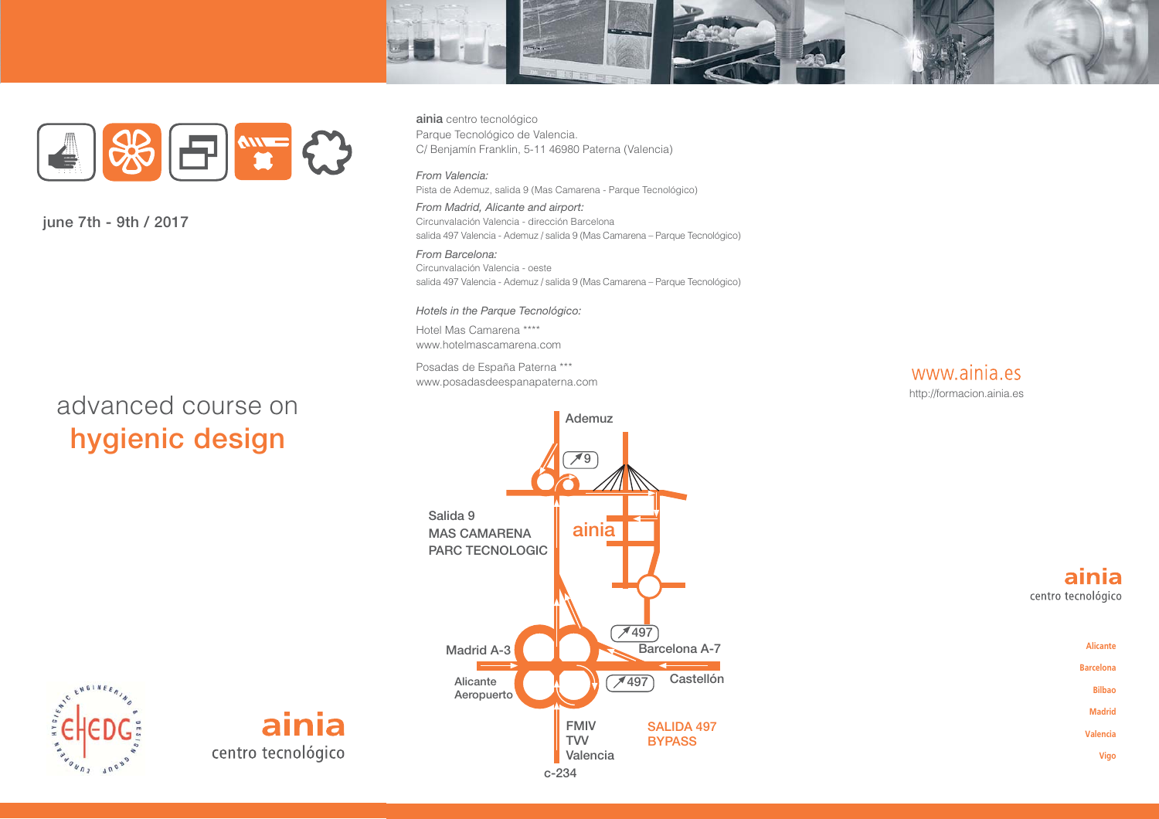



june 7th - 9th / 2017

# advanced course on hygienic design

ainia centro tecnológico Parque Tecnológico de Valencia. C/ Benjamín Franklin, 5-11 46980 Paterna (Valencia)

From Valencia: Pista de Ademuz, salida 9 (Mas Camarena - Parque Tecnológico)

From Madrid, Alicante and airport: Circunvalación Valencia - dirección Barcelona salida 497 Valencia - Ademuz / salida 9 (Mas Camarena - Parque Tecnológico)

From Barcelona: Circunvalación Valencia - oeste salida 497 Valencia - Ademuz / salida 9 (Mas Camarena - Parque Tecnológico)

#### Hotels in the Parque Tecnológico:

Hotel Mas Camarena \*\*\*\* www.hotelmascamarena.com

Posadas de España Paterna \*\*\* www.posadasdeespanapaterna.com



Ademuz  $\overline{19}$ Salida 9  $aini\overline{a}$ **MAS CAMARENA PARC TECNOLOGIC**  $7497$ Barcelona A-7 **Madrid A-3** Castellón  $\times$  497 Alicante Aeropuerto **FMIV SALIDA 497 TVV BYPASS** Valencia  $c - 234$ 

# ENGINER

ainia centro tecnológico

ainia centro tecnológico

Alicante **Barcelona Bilbao Madrid** Valencia Vigo